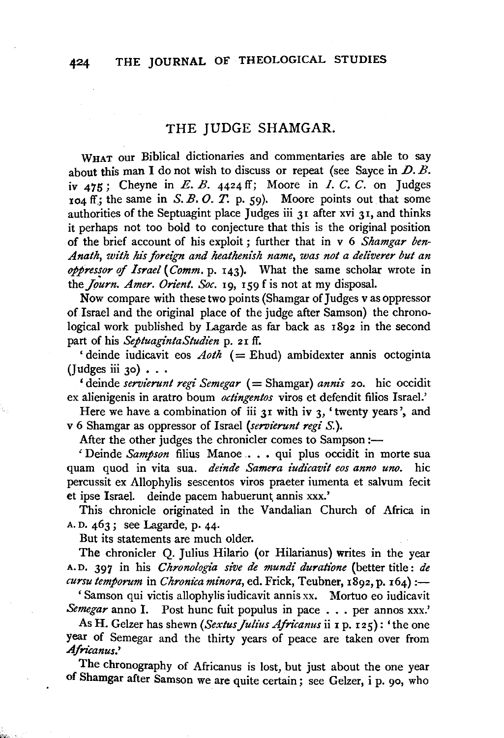## THE JUDGE SHAMGAR.

WHAT our Biblical dictionaries and commentaries are able to say about this man I do not wish to discuss or repeat (see Sayce in  $D. B.$ iv  $475$ ; Cheyne in E. B.  $4424$  ff; Moore in I. C. C. on Judges  $104$  ff; the same in S. B. O. T. p. 59). Moore points out that some authorities of the Septuagint place Judges iii 31 after xvi 31, and thinks it perhaps not too bold to conjecture that this is the original position of the brief account of his exploit ; further that in v 6 *Shamgar ben-Anath, with his foreign and heathenish name, was not a deliverer but an oppres!or* of *Israel* ( *Comm.* p. 143). What the same scholar wrote in the *Journ. Amer. Orient. Soc.* 19, 159 f is not at my disposal.

Now compare with these two points (Shamgar of Judges vas oppressor of Israel and the original place of the judge after Samson) the chronological work published by Lagarde as far back as 1892 in the second part of his *SeptuagintaStudien* p. 2 I ff.

' deinde indicavit eos  $A\circ th$  (= Ehud) ambidexter annis octoginta (Judges iii 30)  $\ldots$ 

'deinde *servierunt regi Semegar* (= Shamgar) *annis* 20. hic occidit ex alienigenis in aratro boum *octingentos* viros et defendit filios Israel.'

Here we have a combination of iii  $3I$  with iv 3, 'twenty years', and v 6 Shamgar as oppressor of Israel *(servierunt regi S.* ).

After the other judges the chronicler comes to Sampson :-

' Deinde *Sampson* filius Manoe . • • qui plus occidit in morte sua quam quod in vita sua. *deinde Samera iudicavit eos anno uno*. hic percussit ex Allophylis sescentos viros praeter iumenta et salvum fecit et ipse Israel. deinde pacem habuerunt annis xxx.'

This chronicle originated in the Vandalian Church of Africa in A. D. 463; see Lagarde, p. 44·

But its statements are much older.

The chronicler Q. Julius Hilario (or Hilarianus) writes in the year A.D. 397 in his *Chronologia sive de mundi duratione* (better title: *de cursu temporum* in *Chronica minora*, ed. Frick, Teubner, 1892, p. 164) :-

' Samson qui victis allophylis iudicavit annis xx. Mortuo eo indicavit *Semegar* anno I. Post hunc fuit populus in pace . . . per annos xxx.'

As H. Gelzer has shewn ( *Sextus Julius Africanus* ii 1 p. I 2 5) : ' the one year of Semegar and the thirty years of peace are taken over from Africanus.'

The chronography of Africanus is lost, but just about the one year of Shamgar after Samson we are quite certain; see Gelzer, i p. 90, who